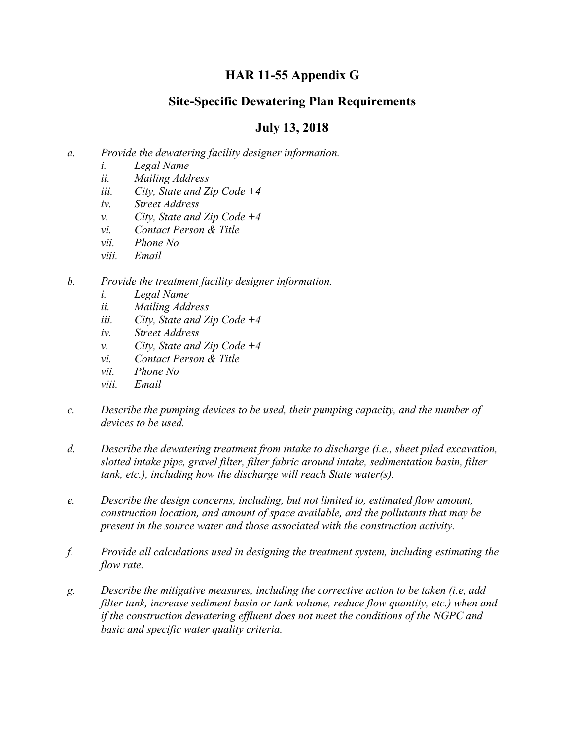## **HAR 11-55 Appendix G**

## **Site-Specific Dewatering Plan Requirements**

## **July 13, 2018**

- *a. Provide the dewatering facility designer information.*
	- *i. Legal Name*
	- *ii. Mailing Address*
	- *iii. City, State and Zip Code +4*
	- *iv. Street Address*
	- *v. City, State and Zip Code +4*
	- *vi. Contact Person & Title*
	- *vii. Phone No*
	- *viii. Email*
- *b. Provide the treatment facility designer information.*
	- *i. Legal Name*
	- *ii. Mailing Address*
	- *iii. City, State and Zip Code +4*
	- *iv. Street Address*
	- *v. City, State and Zip Code +4*
	- *vi. Contact Person & Title*
	- *vii. Phone No*
	- *viii. Email*
- *c. Describe the pumping devices to be used, their pumping capacity, and the number of devices to be used.*
- *d. Describe the dewatering treatment from intake to discharge (i.e., sheet piled excavation, slotted intake pipe, gravel filter, filter fabric around intake, sedimentation basin, filter tank, etc.), including how the discharge will reach State water(s).*
- *e. Describe the design concerns, including, but not limited to, estimated flow amount, construction location, and amount of space available, and the pollutants that may be present in the source water and those associated with the construction activity.*
- *f. Provide all calculations used in designing the treatment system, including estimating the flow rate.*
- *g. Describe the mitigative measures, including the corrective action to be taken (i.e, add filter tank, increase sediment basin or tank volume, reduce flow quantity, etc.) when and if the construction dewatering effluent does not meet the conditions of the NGPC and basic and specific water quality criteria.*